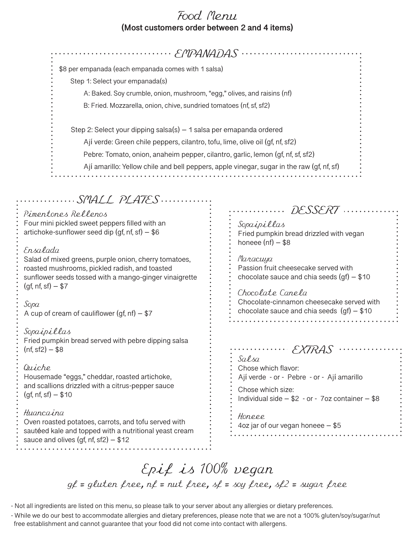## Food Menu **(Most customers order between 2 and 4 items)**

| EMPANADAS                                                                                                                                                                                                                                                                                                                        |                                                                                                                                                                                                                      |
|----------------------------------------------------------------------------------------------------------------------------------------------------------------------------------------------------------------------------------------------------------------------------------------------------------------------------------|----------------------------------------------------------------------------------------------------------------------------------------------------------------------------------------------------------------------|
| \$8 per empanada (each empanada comes with 1 salsa)                                                                                                                                                                                                                                                                              |                                                                                                                                                                                                                      |
| Step 1: Select your empanada(s)                                                                                                                                                                                                                                                                                                  |                                                                                                                                                                                                                      |
| A: Baked. Soy crumble, onion, mushroom, "egg," olives, and raisins (nf)                                                                                                                                                                                                                                                          |                                                                                                                                                                                                                      |
| B: Fried. Mozzarella, onion, chive, sundried tomatoes (nf, sf, sf2)                                                                                                                                                                                                                                                              |                                                                                                                                                                                                                      |
|                                                                                                                                                                                                                                                                                                                                  |                                                                                                                                                                                                                      |
| Step 2: Select your dipping salsa(s) - 1 salsa per emapanda ordered                                                                                                                                                                                                                                                              |                                                                                                                                                                                                                      |
| Ají verde: Green chile peppers, cilantro, tofu, lime, olive oil (gf, nf, sf2)                                                                                                                                                                                                                                                    |                                                                                                                                                                                                                      |
| Pebre: Tomato, onion, anaheim pepper, cilantro, garlic, lemon (gf, nf, sf, sf2)                                                                                                                                                                                                                                                  |                                                                                                                                                                                                                      |
| Ají amarillo: Yellow chile and bell peppers, apple vinegar, sugar in the raw (gf, nf, sf)                                                                                                                                                                                                                                        |                                                                                                                                                                                                                      |
| Pimentones Rellenos<br>Four mini pickled sweet peppers filled with an<br>artichoke-sunflower seed dip (gf, nf, sf) – \$6<br>Ensalada<br>Salad of mixed greens, purple onion, cherry tomatoes,<br>roasted mushrooms, pickled radish, and toasted<br>sunflower seeds tossed with a mango-ginger vinaigrette<br>$(gf, nf, sf) - $7$ | DESSERT<br>.<br>Sopaipillas<br>Fried pumpkin bread drizzled with vegan<br>honeee $(nf)$ – \$8<br>Maracuya<br>Passion fruit cheesecake served with<br>chocolate sauce and chia seeds $(gf) - $10$<br>Chocolate Canela |
| Sopa<br>A cup of cream of cauliflower (gf, nf) $-$ \$7                                                                                                                                                                                                                                                                           | Chocolate-cinnamon cheesecake served with<br>chocolate sauce and chia seeds $(gf) - $10$                                                                                                                             |
| Sopaipillas<br>Fried pumpkin bread served with pebre dipping salsa<br>(nf, sf2) – \$8                                                                                                                                                                                                                                            | $\cdots \cdots \in \mathsf{XTRAS}$<br>Salsa                                                                                                                                                                          |
| Quiche<br>Housemade "eggs," cheddar, roasted artichoke,<br>and scallions drizzled with a citrus-pepper sauce<br>$(gf, nf, sf) - $10$                                                                                                                                                                                             | Chose which flavor:<br>Ají verde - or - Pebre - or - Ají amarillo<br>Chose which size:<br>Individual side $- $2 - or - 7$ oz container $- $8$                                                                        |
| Huancaina<br>Oven roasted potatoes, carrots, and tofu served with<br>sautéed kale and topped with a nutritional yeast cream<br>sauce and olives (gf, nf, sf2) – \$12                                                                                                                                                             | Honeee<br>4oz jar of our vegan honeee $-$ \$5<br>.                                                                                                                                                                   |
|                                                                                                                                                                                                                                                                                                                                  |                                                                                                                                                                                                                      |

**\*\*\*\*\*\*\*\*\*\*\*\*\*\*\*\*\***\*

## Epif is 100% vegan  $g_f$  = gluten free,  $nf$  = nut free,  $sf$  = soy free,  $sf$ 2 = sugar free

- Not all ingredients are listed on this menu, so please talk to your server about any allergies or dietary preferences.

- While we do our best to accommodate allergies and dietary preferences, please note that we are not a 100% gluten/soy/sugar/nut free establishment and cannot guarantee that your food did not come into contact with allergens.